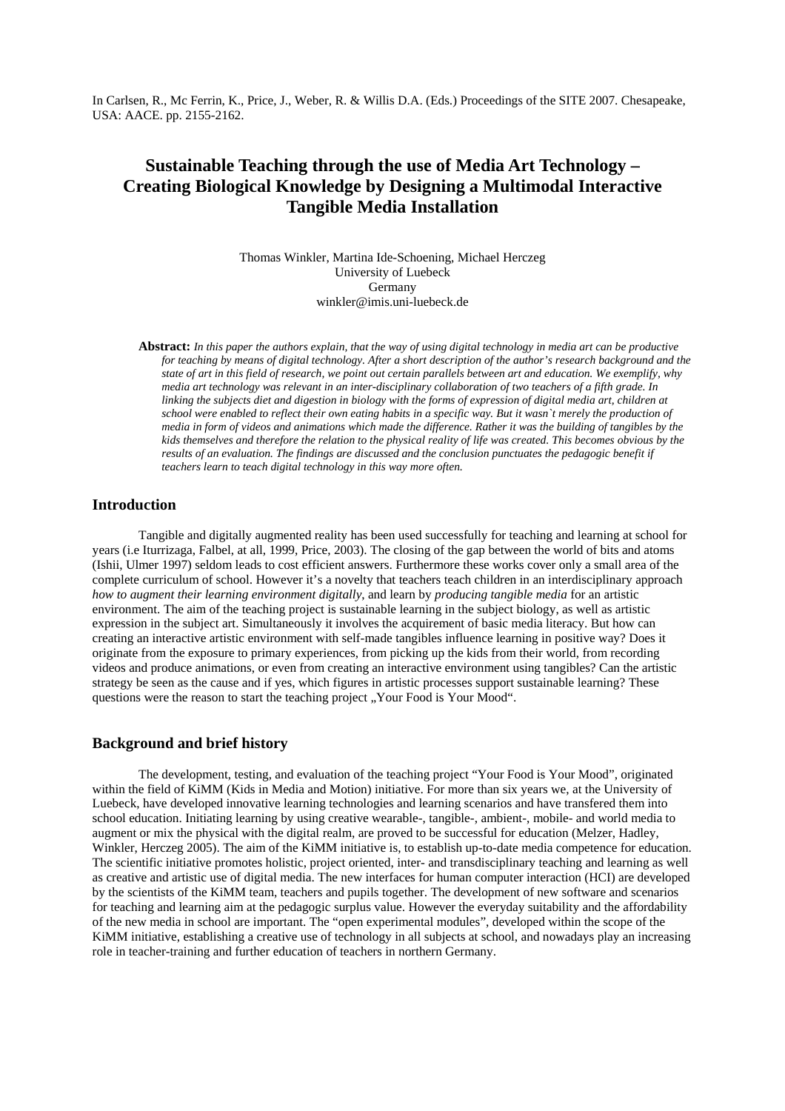# **Sustainable Teaching through the use of Media Art Technology – Creating Biological Knowledge by Designing a Multimodal Interactive Tangible Media Installation**

Thomas Winkler, Martina Ide-Schoening, Michael Herczeg University of Luebeck Germany winkler@imis.uni-luebeck.de

**Abstract:** *In this paper the authors explain, that the way of using digital technology in media art can be productive for teaching by means of digital technology. After a short description of the author's research background and the state of art in this field of research, we point out certain parallels between art and education. We exemplify, why media art technology was relevant in an inter-disciplinary collaboration of two teachers of a fifth grade. In linking the subjects diet and digestion in biology with the forms of expression of digital media art, children at school were enabled to reflect their own eating habits in a specific way. But it wasn`t merely the production of media in form of videos and animations which made the difference. Rather it was the building of tangibles by the kids themselves and therefore the relation to the physical reality of life was created. This becomes obvious by the results of an evaluation. The findings are discussed and the conclusion punctuates the pedagogic benefit if teachers learn to teach digital technology in this way more often.* 

### **Introduction**

Tangible and digitally augmented reality has been used successfully for teaching and learning at school for years (i.e Iturrizaga, Falbel, at all, 1999, Price, 2003). The closing of the gap between the world of bits and atoms (Ishii, Ulmer 1997) seldom leads to cost efficient answers. Furthermore these works cover only a small area of the complete curriculum of school. However it's a novelty that teachers teach children in an interdisciplinary approach *how to augment their learning environment digitally*, and learn by *producing tangible media* for an artistic environment. The aim of the teaching project is sustainable learning in the subject biology, as well as artistic expression in the subject art. Simultaneously it involves the acquirement of basic media literacy. But how can creating an interactive artistic environment with self-made tangibles influence learning in positive way? Does it originate from the exposure to primary experiences, from picking up the kids from their world, from recording videos and produce animations, or even from creating an interactive environment using tangibles? Can the artistic strategy be seen as the cause and if yes, which figures in artistic processes support sustainable learning? These questions were the reason to start the teaching project "Your Food is Your Mood".

# **Background and brief history**

The development, testing, and evaluation of the teaching project "Your Food is Your Mood", originated within the field of KiMM (Kids in Media and Motion) initiative. For more than six years we, at the University of Luebeck, have developed innovative learning technologies and learning scenarios and have transfered them into school education. Initiating learning by using creative wearable-, tangible-, ambient-, mobile- and world media to augment or mix the physical with the digital realm, are proved to be successful for education (Melzer, Hadley, Winkler, Herczeg 2005). The aim of the KiMM initiative is, to establish up-to-date media competence for education. The scientific initiative promotes holistic, project oriented, inter- and transdisciplinary teaching and learning as well as creative and artistic use of digital media. The new interfaces for human computer interaction (HCI) are developed by the scientists of the KiMM team, teachers and pupils together. The development of new software and scenarios for teaching and learning aim at the pedagogic surplus value. However the everyday suitability and the affordability of the new media in school are important. The "open experimental modules", developed within the scope of the KiMM initiative, establishing a creative use of technology in all subjects at school, and nowadays play an increasing role in teacher-training and further education of teachers in northern Germany.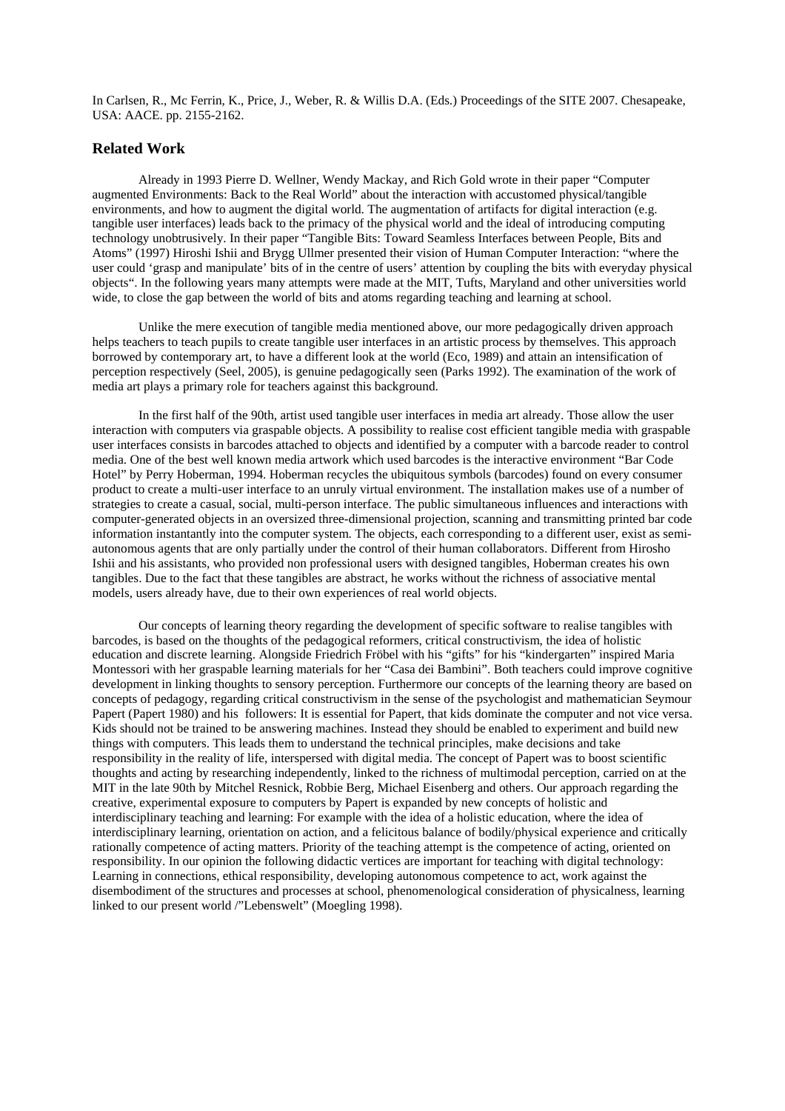### **Related Work**

 Already in 1993 Pierre D. Wellner, Wendy Mackay, and Rich Gold wrote in their paper "Computer augmented Environments: Back to the Real World" about the interaction with accustomed physical/tangible environments, and how to augment the digital world. The augmentation of artifacts for digital interaction (e.g. tangible user interfaces) leads back to the primacy of the physical world and the ideal of introducing computing technology unobtrusively. In their paper "Tangible Bits: Toward Seamless Interfaces between People, Bits and Atoms" (1997) Hiroshi Ishii and Brygg Ullmer presented their vision of Human Computer Interaction: "where the user could 'grasp and manipulate' bits of in the centre of users' attention by coupling the bits with everyday physical objects". In the following years many attempts were made at the MIT, Tufts, Maryland and other universities world wide, to close the gap between the world of bits and atoms regarding teaching and learning at school.

Unlike the mere execution of tangible media mentioned above, our more pedagogically driven approach helps teachers to teach pupils to create tangible user interfaces in an artistic process by themselves. This approach borrowed by contemporary art, to have a different look at the world (Eco, 1989) and attain an intensification of perception respectively (Seel, 2005), is genuine pedagogically seen (Parks 1992). The examination of the work of media art plays a primary role for teachers against this background.

In the first half of the 90th, artist used tangible user interfaces in media art already. Those allow the user interaction with computers via graspable objects. A possibility to realise cost efficient tangible media with graspable user interfaces consists in barcodes attached to objects and identified by a computer with a barcode reader to control media. One of the best well known media artwork which used barcodes is the interactive environment "Bar Code Hotel" by Perry Hoberman, 1994. Hoberman recycles the ubiquitous symbols (barcodes) found on every consumer product to create a multi-user interface to an unruly virtual environment. The installation makes use of a number of strategies to create a casual, social, multi-person interface. The public simultaneous influences and interactions with computer-generated objects in an oversized three-dimensional projection, scanning and transmitting printed bar code information instantantly into the computer system. The objects, each corresponding to a different user, exist as semiautonomous agents that are only partially under the control of their human collaborators. Different from Hirosho Ishii and his assistants, who provided non professional users with designed tangibles, Hoberman creates his own tangibles. Due to the fact that these tangibles are abstract, he works without the richness of associative mental models, users already have, due to their own experiences of real world objects.

Our concepts of learning theory regarding the development of specific software to realise tangibles with barcodes, is based on the thoughts of the pedagogical reformers, critical constructivism, the idea of holistic education and discrete learning. Alongside Friedrich Fröbel with his "gifts" for his "kindergarten" inspired Maria Montessori with her graspable learning materials for her "Casa dei Bambini". Both teachers could improve cognitive development in linking thoughts to sensory perception. Furthermore our concepts of the learning theory are based on concepts of pedagogy, regarding critical constructivism in the sense of the psychologist and mathematician Seymour Papert (Papert 1980) and his followers: It is essential for Papert, that kids dominate the computer and not vice versa. Kids should not be trained to be answering machines. Instead they should be enabled to experiment and build new things with computers. This leads them to understand the technical principles, make decisions and take responsibility in the reality of life, interspersed with digital media. The concept of Papert was to boost scientific thoughts and acting by researching independently, linked to the richness of multimodal perception, carried on at the MIT in the late 90th by Mitchel Resnick, Robbie Berg, Michael Eisenberg and others. Our approach regarding the creative, experimental exposure to computers by Papert is expanded by new concepts of holistic and interdisciplinary teaching and learning: For example with the idea of a holistic education, where the idea of interdisciplinary learning, orientation on action, and a felicitous balance of bodily/physical experience and critically rationally competence of acting matters. Priority of the teaching attempt is the competence of acting, oriented on responsibility. In our opinion the following didactic vertices are important for teaching with digital technology: Learning in connections, ethical responsibility, developing autonomous competence to act, work against the disembodiment of the structures and processes at school, phenomenological consideration of physicalness, learning linked to our present world /"Lebenswelt" (Moegling 1998).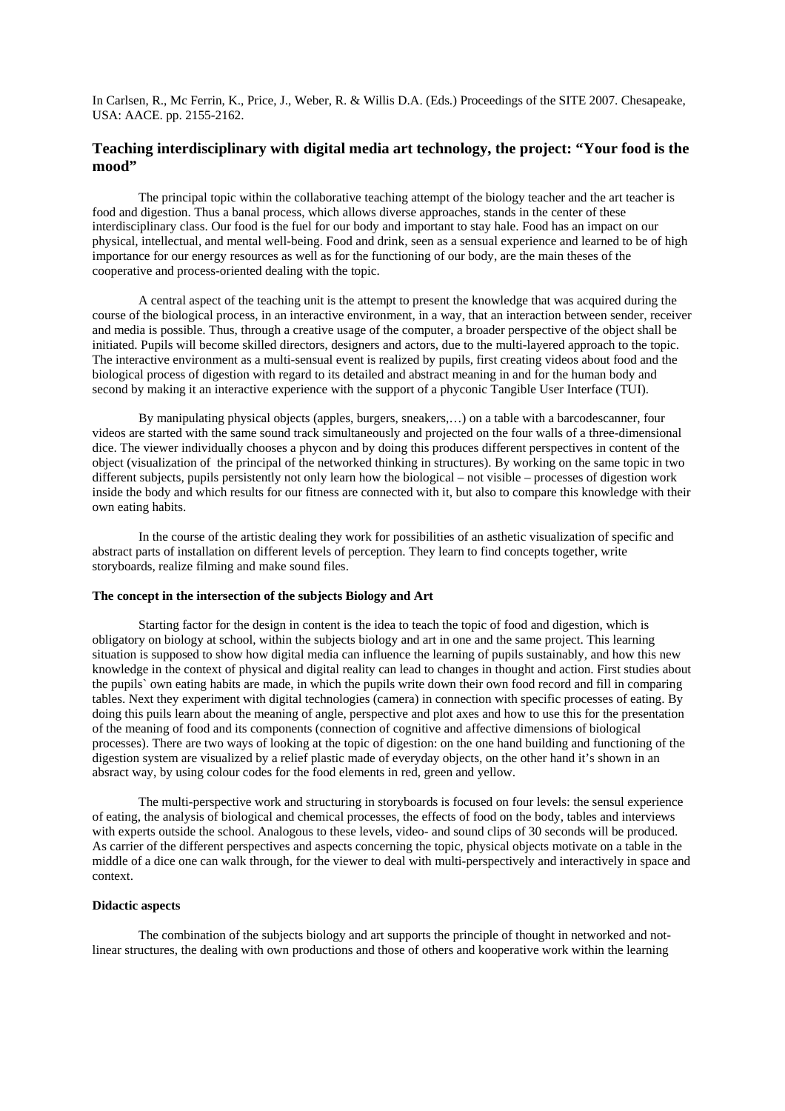# **Teaching interdisciplinary with digital media art technology, the project: "Your food is the mood"**

The principal topic within the collaborative teaching attempt of the biology teacher and the art teacher is food and digestion. Thus a banal process, which allows diverse approaches, stands in the center of these interdisciplinary class. Our food is the fuel for our body and important to stay hale. Food has an impact on our physical, intellectual, and mental well-being. Food and drink, seen as a sensual experience and learned to be of high importance for our energy resources as well as for the functioning of our body, are the main theses of the cooperative and process-oriented dealing with the topic.

A central aspect of the teaching unit is the attempt to present the knowledge that was acquired during the course of the biological process, in an interactive environment, in a way, that an interaction between sender, receiver and media is possible. Thus, through a creative usage of the computer, a broader perspective of the object shall be initiated. Pupils will become skilled directors, designers and actors, due to the multi-layered approach to the topic. The interactive environment as a multi-sensual event is realized by pupils, first creating videos about food and the biological process of digestion with regard to its detailed and abstract meaning in and for the human body and second by making it an interactive experience with the support of a phyconic Tangible User Interface (TUI).

By manipulating physical objects (apples, burgers, sneakers,…) on a table with a barcodescanner, four videos are started with the same sound track simultaneously and projected on the four walls of a three-dimensional dice. The viewer individually chooses a phycon and by doing this produces different perspectives in content of the object (visualization of the principal of the networked thinking in structures). By working on the same topic in two different subjects, pupils persistently not only learn how the biological – not visible – processes of digestion work inside the body and which results for our fitness are connected with it, but also to compare this knowledge with their own eating habits.

In the course of the artistic dealing they work for possibilities of an asthetic visualization of specific and abstract parts of installation on different levels of perception. They learn to find concepts together, write storyboards, realize filming and make sound files.

#### **The concept in the intersection of the subjects Biology and Art**

Starting factor for the design in content is the idea to teach the topic of food and digestion, which is obligatory on biology at school, within the subjects biology and art in one and the same project. This learning situation is supposed to show how digital media can influence the learning of pupils sustainably, and how this new knowledge in the context of physical and digital reality can lead to changes in thought and action. First studies about the pupils` own eating habits are made, in which the pupils write down their own food record and fill in comparing tables. Next they experiment with digital technologies (camera) in connection with specific processes of eating. By doing this puils learn about the meaning of angle, perspective and plot axes and how to use this for the presentation of the meaning of food and its components (connection of cognitive and affective dimensions of biological processes). There are two ways of looking at the topic of digestion: on the one hand building and functioning of the digestion system are visualized by a relief plastic made of everyday objects, on the other hand it's shown in an absract way, by using colour codes for the food elements in red, green and yellow.

The multi-perspective work and structuring in storyboards is focused on four levels: the sensul experience of eating, the analysis of biological and chemical processes, the effects of food on the body, tables and interviews with experts outside the school. Analogous to these levels, video- and sound clips of 30 seconds will be produced. As carrier of the different perspectives and aspects concerning the topic, physical objects motivate on a table in the middle of a dice one can walk through, for the viewer to deal with multi-perspectively and interactively in space and context.

#### **Didactic aspects**

 The combination of the subjects biology and art supports the principle of thought in networked and notlinear structures, the dealing with own productions and those of others and kooperative work within the learning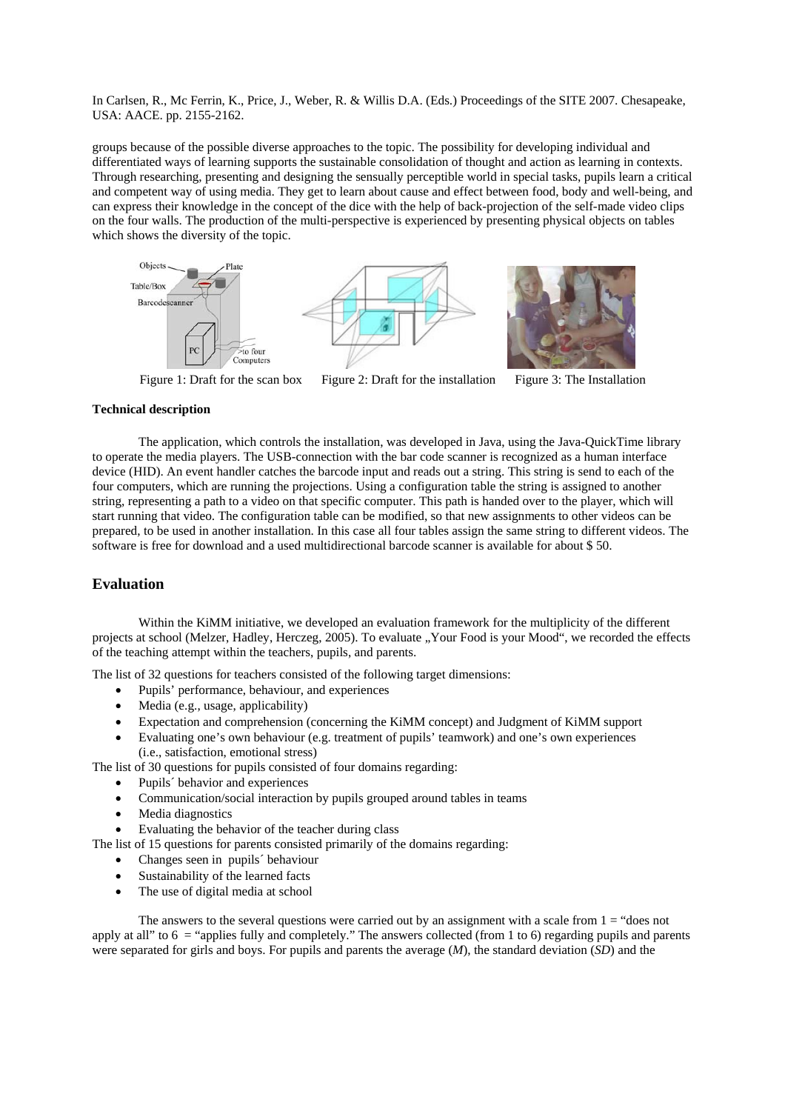groups because of the possible diverse approaches to the topic. The possibility for developing individual and differentiated ways of learning supports the sustainable consolidation of thought and action as learning in contexts. Through researching, presenting and designing the sensually perceptible world in special tasks, pupils learn a critical and competent way of using media. They get to learn about cause and effect between food, body and well-being, and can express their knowledge in the concept of the dice with the help of back-projection of the self-made video clips on the four walls. The production of the multi-perspective is experienced by presenting physical objects on tables which shows the diversity of the topic.



Figure 1: Draft for the scan box Figure 2: Draft for the installation Figure 3: The Installation

#### **Technical description**

The application, which controls the installation, was developed in Java, using the Java-QuickTime library to operate the media players. The USB-connection with the bar code scanner is recognized as a human interface device (HID). An event handler catches the barcode input and reads out a string. This string is send to each of the four computers, which are running the projections. Using a configuration table the string is assigned to another string, representing a path to a video on that specific computer. This path is handed over to the player, which will start running that video. The configuration table can be modified, so that new assignments to other videos can be prepared, to be used in another installation. In this case all four tables assign the same string to different videos. The software is free for download and a used multidirectional barcode scanner is available for about \$ 50.

## **Evaluation**

Within the KiMM initiative, we developed an evaluation framework for the multiplicity of the different projects at school (Melzer, Hadley, Herczeg, 2005). To evaluate "Your Food is your Mood", we recorded the effects of the teaching attempt within the teachers, pupils, and parents.

The list of 32 questions for teachers consisted of the following target dimensions:

- Pupils' performance, behaviour, and experiences
- Media (e.g., usage, applicability)
- Expectation and comprehension (concerning the KiMM concept) and Judgment of KiMM support
- Evaluating one's own behaviour (e.g. treatment of pupils' teamwork) and one's own experiences (i.e., satisfaction, emotional stress)

The list of 30 questions for pupils consisted of four domains regarding:

- Pupils<sup>'</sup> behavior and experiences
- Communication/social interaction by pupils grouped around tables in teams
- Media diagnostics
- Evaluating the behavior of the teacher during class

The list of 15 questions for parents consisted primarily of the domains regarding:

- Changes seen in pupils´ behaviour
- Sustainability of the learned facts
- The use of digital media at school

The answers to the several questions were carried out by an assignment with a scale from  $1 =$  "does not apply at all" to  $6 =$  "applies fully and completely." The answers collected (from 1 to 6) regarding pupils and parents were separated for girls and boys. For pupils and parents the average (*M*), the standard deviation (*SD*) and the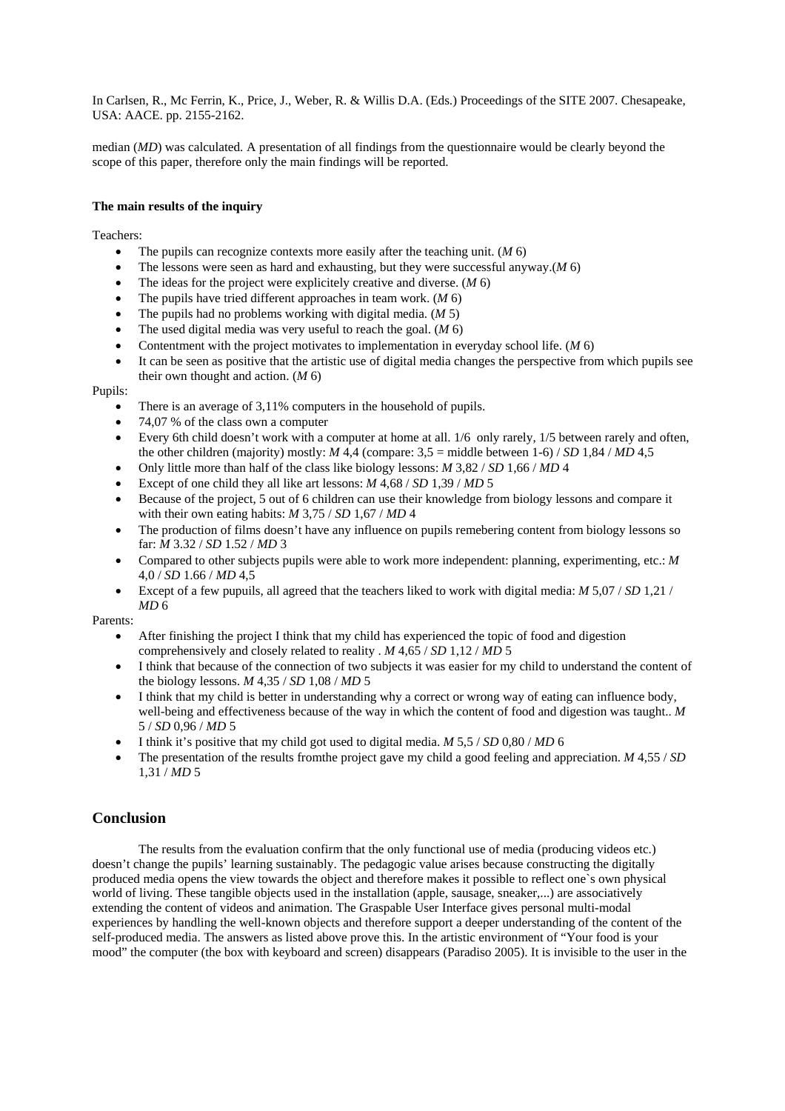median (*MD*) was calculated. A presentation of all findings from the questionnaire would be clearly beyond the scope of this paper, therefore only the main findings will be reported.

### **The main results of the inquiry**

Teachers:

- The pupils can recognize contexts more easily after the teaching unit. (*M* 6)
- The lessons were seen as hard and exhausting, but they were successful anyway.(*M* 6)
- The ideas for the project were explicitely creative and diverse. (*M* 6)
- The pupils have tried different approaches in team work. (*M* 6)
- The pupils had no problems working with digital media. (*M* 5)
- The used digital media was very useful to reach the goal. (*M* 6)
- Contentment with the project motivates to implementation in everyday school life. (*M* 6)
- It can be seen as positive that the artistic use of digital media changes the perspective from which pupils see their own thought and action. (*M* 6)

Pupils:

- There is an average of 3,11% computers in the household of pupils.
- 74,07 % of the class own a computer
- Every 6th child doesn't work with a computer at home at all. 1/6 only rarely, 1/5 between rarely and often, the other children (majority) mostly:  $M$  4,4 (compare:  $3.5 =$  middle between 1-6) / *SD* 1,84 / *MD* 4,5
- Only little more than half of the class like biology lessons: *M* 3,82 / *SD* 1,66 / *MD* 4
- Except of one child they all like art lessons: *M* 4,68 / *SD* 1,39 / *MD* 5
- Because of the project, 5 out of 6 children can use their knowledge from biology lessons and compare it with their own eating habits: *M* 3,75 / *SD* 1,67 / *MD* 4
- The production of films doesn't have any influence on pupils remebering content from biology lessons so far: *M* 3.32 / *SD* 1.52 / *MD* 3
- Compared to other subjects pupils were able to work more independent: planning, experimenting, etc.: *M* 4,0 / *SD* 1.66 / *MD* 4,5
- Except of a few pupuils, all agreed that the teachers liked to work with digital media: *M* 5,07 / *SD* 1,21 / *MD* 6

Parents:

- After finishing the project I think that my child has experienced the topic of food and digestion comprehensively and closely related to reality . *M* 4,65 / *SD* 1,12 / *MD* 5
- I think that because of the connection of two subjects it was easier for my child to understand the content of the biology lessons. *M* 4,35 / *SD* 1,08 / *MD* 5
- I think that my child is better in understanding why a correct or wrong way of eating can influence body, well-being and effectiveness because of the way in which the content of food and digestion was taught.. *M* 5 / *SD* 0,96 / *MD* 5
- I think it's positive that my child got used to digital media. *M* 5,5 / *SD* 0,80 / *MD* 6
- The presentation of the results fromthe project gave my child a good feeling and appreciation. *M* 4,55 / *SD* 1,31 / *MD* 5

### **Conclusion**

The results from the evaluation confirm that the only functional use of media (producing videos etc.) doesn't change the pupils' learning sustainably. The pedagogic value arises because constructing the digitally produced media opens the view towards the object and therefore makes it possible to reflect one`s own physical world of living. These tangible objects used in the installation (apple, sausage, sneaker,...) are associatively extending the content of videos and animation. The Graspable User Interface gives personal multi-modal experiences by handling the well-known objects and therefore support a deeper understanding of the content of the self-produced media. The answers as listed above prove this. In the artistic environment of "Your food is your mood" the computer (the box with keyboard and screen) disappears (Paradiso 2005). It is invisible to the user in the